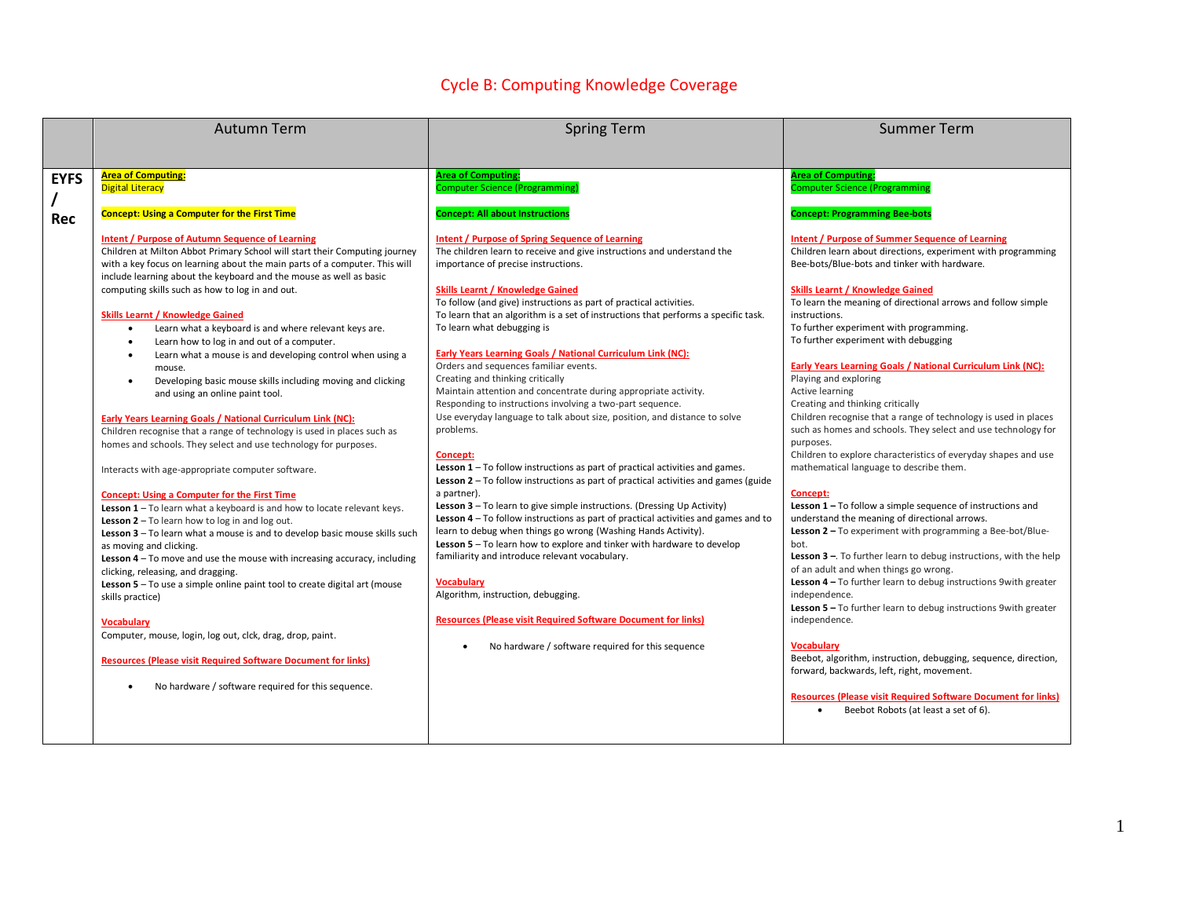## Cycle B: Computing Knowledge Coverage

|             | <b>Autumn Term</b>                                                                                                                                                                                                                                                                                                                                                                                                                                                                                                                                                                                                                                                                                                                                                                                                                                                                                                                                                                                                 | <b>Spring Term</b>                                                                                                                                                                                                                                                                                                                                                                                                                                                                                                                                                                                                                                                                                                                                                                                                                                                                                                                                                                                  | <b>Summer Term</b>                                                                                                                                                                                                                                                                                                                                                                                                                                                                                                                                                                                                                                                                                                                                                                                      |
|-------------|--------------------------------------------------------------------------------------------------------------------------------------------------------------------------------------------------------------------------------------------------------------------------------------------------------------------------------------------------------------------------------------------------------------------------------------------------------------------------------------------------------------------------------------------------------------------------------------------------------------------------------------------------------------------------------------------------------------------------------------------------------------------------------------------------------------------------------------------------------------------------------------------------------------------------------------------------------------------------------------------------------------------|-----------------------------------------------------------------------------------------------------------------------------------------------------------------------------------------------------------------------------------------------------------------------------------------------------------------------------------------------------------------------------------------------------------------------------------------------------------------------------------------------------------------------------------------------------------------------------------------------------------------------------------------------------------------------------------------------------------------------------------------------------------------------------------------------------------------------------------------------------------------------------------------------------------------------------------------------------------------------------------------------------|---------------------------------------------------------------------------------------------------------------------------------------------------------------------------------------------------------------------------------------------------------------------------------------------------------------------------------------------------------------------------------------------------------------------------------------------------------------------------------------------------------------------------------------------------------------------------------------------------------------------------------------------------------------------------------------------------------------------------------------------------------------------------------------------------------|
|             |                                                                                                                                                                                                                                                                                                                                                                                                                                                                                                                                                                                                                                                                                                                                                                                                                                                                                                                                                                                                                    |                                                                                                                                                                                                                                                                                                                                                                                                                                                                                                                                                                                                                                                                                                                                                                                                                                                                                                                                                                                                     |                                                                                                                                                                                                                                                                                                                                                                                                                                                                                                                                                                                                                                                                                                                                                                                                         |
| <b>EYFS</b> | <b>Area of Computing:</b><br><b>Digital Literacy</b>                                                                                                                                                                                                                                                                                                                                                                                                                                                                                                                                                                                                                                                                                                                                                                                                                                                                                                                                                               | <b>Area of Computing:</b><br>Computer Science (Programming)                                                                                                                                                                                                                                                                                                                                                                                                                                                                                                                                                                                                                                                                                                                                                                                                                                                                                                                                         | <b>Area of Computing:</b><br><b>Computer Science (Programming</b>                                                                                                                                                                                                                                                                                                                                                                                                                                                                                                                                                                                                                                                                                                                                       |
| <b>Rec</b>  | <b>Concept: Using a Computer for the First Time</b>                                                                                                                                                                                                                                                                                                                                                                                                                                                                                                                                                                                                                                                                                                                                                                                                                                                                                                                                                                | <b>Concept: All about Instructions</b>                                                                                                                                                                                                                                                                                                                                                                                                                                                                                                                                                                                                                                                                                                                                                                                                                                                                                                                                                              | <b>Concept: Programming Bee-bots</b>                                                                                                                                                                                                                                                                                                                                                                                                                                                                                                                                                                                                                                                                                                                                                                    |
|             | Intent / Purpose of Autumn Sequence of Learning<br>Children at Milton Abbot Primary School will start their Computing journey<br>with a key focus on learning about the main parts of a computer. This will<br>include learning about the keyboard and the mouse as well as basic<br>computing skills such as how to log in and out.<br><b>Skills Learnt / Knowledge Gained</b><br>Learn what a keyboard is and where relevant keys are.<br>Learn how to log in and out of a computer.<br>$\bullet$<br>Learn what a mouse is and developing control when using a<br>mouse.<br>Developing basic mouse skills including moving and clicking<br>$\bullet$<br>and using an online paint tool.<br>Early Years Learning Goals / National Curriculum Link (NC):<br>Children recognise that a range of technology is used in places such as<br>homes and schools. They select and use technology for purposes.<br>Interacts with age-appropriate computer software.<br><b>Concept: Using a Computer for the First Time</b> | Intent / Purpose of Spring Sequence of Learning<br>The children learn to receive and give instructions and understand the<br>importance of precise instructions.<br><b>Skills Learnt / Knowledge Gained</b><br>To follow (and give) instructions as part of practical activities.<br>To learn that an algorithm is a set of instructions that performs a specific task.<br>To learn what debugging is<br><b>Early Years Learning Goals / National Curriculum Link (NC):</b><br>Orders and sequences familiar events.<br>Creating and thinking critically<br>Maintain attention and concentrate during appropriate activity.<br>Responding to instructions involving a two-part sequence.<br>Use everyday language to talk about size, position, and distance to solve<br>problems.<br>Concept:<br><b>Lesson 1</b> $-$ To follow instructions as part of practical activities and games.<br><b>Lesson 2</b> – To follow instructions as part of practical activities and games (guide<br>a partner). | Intent / Purpose of Summer Sequence of Learning<br>Children learn about directions, experiment with programming<br>Bee-bots/Blue-bots and tinker with hardware.<br><b>Skills Learnt / Knowledge Gained</b><br>To learn the meaning of directional arrows and follow simple<br>instructions.<br>To further experiment with programming.<br>To further experiment with debugging<br>Early Years Learning Goals / National Curriculum Link (NC):<br>Playing and exploring<br>Active learning<br>Creating and thinking critically<br>Children recognise that a range of technology is used in places<br>such as homes and schools. They select and use technology for<br>purposes.<br>Children to explore characteristics of everyday shapes and use<br>mathematical language to describe them.<br>Concept: |
|             | Lesson 1-To learn what a keyboard is and how to locate relevant keys.<br><b>Lesson 2</b> $-$ To learn how to log in and log out.<br>Lesson 3 - To learn what a mouse is and to develop basic mouse skills such<br>as moving and clicking.<br><b>Lesson 4</b> – To move and use the mouse with increasing accuracy, including<br>clicking, releasing, and dragging.<br>Lesson 5 - To use a simple online paint tool to create digital art (mouse<br>skills practice)<br>Vocabulary<br>Computer, mouse, login, log out, clck, drag, drop, paint.<br><b>Resources (Please visit Required Software Document for links)</b><br>No hardware / software required for this sequence.                                                                                                                                                                                                                                                                                                                                       | Lesson 3 - To learn to give simple instructions. (Dressing Up Activity)<br><b>Lesson 4</b> $-$ To follow instructions as part of practical activities and games and to<br>learn to debug when things go wrong (Washing Hands Activity).<br>Lesson 5 - To learn how to explore and tinker with hardware to develop<br>familiarity and introduce relevant vocabulary.<br><b>Vocabulary</b><br>Algorithm, instruction, debugging.<br><b>Resources (Please visit Required Software Document for links)</b><br>No hardware / software required for this sequence                                                                                                                                                                                                                                                                                                                                                                                                                                         | Lesson $1 -$ To follow a simple sequence of instructions and<br>understand the meaning of directional arrows.<br>Lesson 2 - To experiment with programming a Bee-bot/Blue-<br>bot.<br><b>Lesson 3</b> $-$ . To further learn to debug instructions, with the help<br>of an adult and when things go wrong.<br>Lesson 4 - To further learn to debug instructions 9 with greater<br>independence.<br><b>Lesson 5</b> - To further learn to debug instructions 9 with greater<br>independence.<br>Vocabularv<br>Beebot, algorithm, instruction, debugging, sequence, direction,<br>forward, backwards, left, right, movement.<br><b>Resources (Please visit Required Software Document for links)</b><br>Beebot Robots (at least a set of 6).                                                              |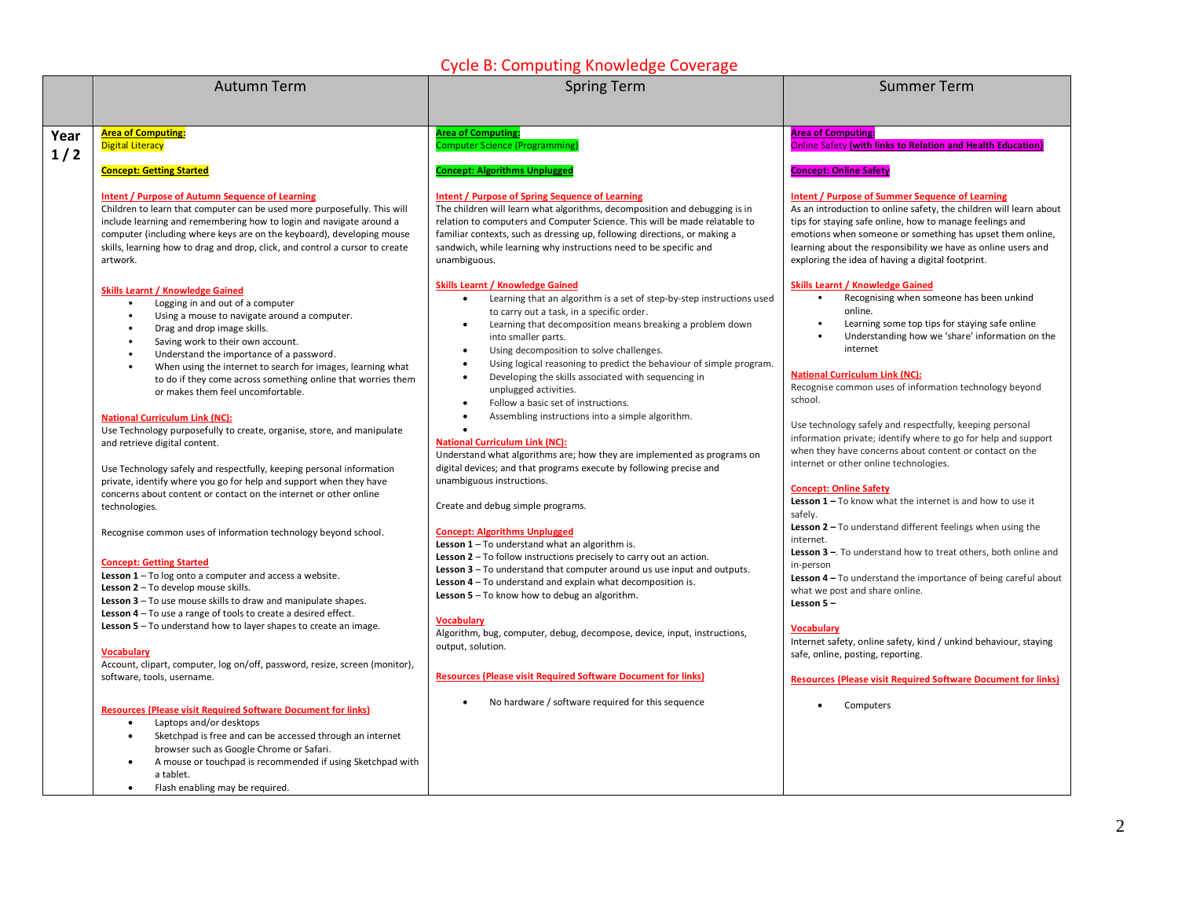## Cycle B: Computing Knowledge Coverage

|      | <b>Autumn Term</b>                                                                                                                                                                                                                                                                                                                                                                                                                                 | Cycle D. Computing Knowledge Coverage<br><b>Spring Term</b>                                                                                                                                                                                                                                                                                                                                                                                                                                                                    | <b>Summer Term</b>                                                                                                                                                                                                                                                                                                                                                                                                     |
|------|----------------------------------------------------------------------------------------------------------------------------------------------------------------------------------------------------------------------------------------------------------------------------------------------------------------------------------------------------------------------------------------------------------------------------------------------------|--------------------------------------------------------------------------------------------------------------------------------------------------------------------------------------------------------------------------------------------------------------------------------------------------------------------------------------------------------------------------------------------------------------------------------------------------------------------------------------------------------------------------------|------------------------------------------------------------------------------------------------------------------------------------------------------------------------------------------------------------------------------------------------------------------------------------------------------------------------------------------------------------------------------------------------------------------------|
|      |                                                                                                                                                                                                                                                                                                                                                                                                                                                    |                                                                                                                                                                                                                                                                                                                                                                                                                                                                                                                                |                                                                                                                                                                                                                                                                                                                                                                                                                        |
|      |                                                                                                                                                                                                                                                                                                                                                                                                                                                    |                                                                                                                                                                                                                                                                                                                                                                                                                                                                                                                                |                                                                                                                                                                                                                                                                                                                                                                                                                        |
| Year | <b>Area of Computing:</b><br><b>Digital Literacy</b>                                                                                                                                                                                                                                                                                                                                                                                               | <b>Area of Computing:</b><br><b>Computer Science (Programming)</b>                                                                                                                                                                                                                                                                                                                                                                                                                                                             | <b>Area of Computing:</b><br><b>Online Safety (with links to Relation and Health Education)</b>                                                                                                                                                                                                                                                                                                                        |
| 1/2  | <b>Concept: Getting Started</b>                                                                                                                                                                                                                                                                                                                                                                                                                    | <b>Concept: Algorithms Unplugged</b>                                                                                                                                                                                                                                                                                                                                                                                                                                                                                           | <b>Concept: Online Safety</b>                                                                                                                                                                                                                                                                                                                                                                                          |
|      | <b>Intent / Purpose of Autumn Sequence of Learning</b><br>Children to learn that computer can be used more purposefully. This will<br>include learning and remembering how to login and navigate around a<br>computer (including where keys are on the keyboard), developing mouse<br>skills, learning how to drag and drop, click, and control a cursor to create<br>artwork.<br><b>Skills Learnt / Knowledge Gained</b>                          | <b>Intent / Purpose of Spring Sequence of Learning</b><br>The children will learn what algorithms, decomposition and debugging is in<br>relation to computers and Computer Science. This will be made relatable to<br>familiar contexts, such as dressing up, following directions, or making a<br>sandwich, while learning why instructions need to be specific and<br>unambiguous.<br><b>Skills Learnt / Knowledge Gained</b>                                                                                                | <b>Intent / Purpose of Summer Sequence of Learning</b><br>As an introduction to online safety, the children will learn about<br>tips for staying safe online, how to manage feelings and<br>emotions when someone or something has upset them online,<br>learning about the responsibility we have as online users and<br>exploring the idea of having a digital footprint.<br><b>Skills Learnt / Knowledge Gained</b> |
|      | Logging in and out of a computer<br>$\bullet$<br>Using a mouse to navigate around a computer.<br>$\bullet$<br>$\bullet$<br>Drag and drop image skills.<br>Saving work to their own account.<br>$\bullet$<br>$\bullet$<br>Understand the importance of a password.<br>When using the internet to search for images, learning what<br>$\bullet$<br>to do if they come across something online that worries them<br>or makes them feel uncomfortable. | Learning that an algorithm is a set of step-by-step instructions used<br>$\bullet$<br>to carry out a task, in a specific order.<br>Learning that decomposition means breaking a problem down<br>$\bullet$<br>into smaller parts.<br>Using decomposition to solve challenges.<br>$\bullet$<br>Using logical reasoning to predict the behaviour of simple program.<br>$\bullet$<br>Developing the skills associated with sequencing in<br>$\bullet$<br>unplugged activities.<br>Follow a basic set of instructions.<br>$\bullet$ | Recognising when someone has been unkind<br>$\bullet$<br>online.<br>Learning some top tips for staying safe online<br>Understanding how we 'share' information on the<br>internet<br><b>National Curriculum Link (NC):</b><br>Recognise common uses of information technology beyond<br>school.                                                                                                                        |
|      | <b>National Curriculum Link (NC):</b><br>Use Technology purposefully to create, organise, store, and manipulate<br>and retrieve digital content.                                                                                                                                                                                                                                                                                                   | Assembling instructions into a simple algorithm.<br>$\bullet$<br><b>National Curriculum Link (NC):</b><br>Understand what algorithms are; how they are implemented as programs on                                                                                                                                                                                                                                                                                                                                              | Use technology safely and respectfully, keeping personal<br>information private; identify where to go for help and support<br>when they have concerns about content or contact on the<br>internet or other online technologies.                                                                                                                                                                                        |
|      | Use Technology safely and respectfully, keeping personal information<br>private, identify where you go for help and support when they have<br>concerns about content or contact on the internet or other online<br>technologies.                                                                                                                                                                                                                   | digital devices; and that programs execute by following precise and<br>unambiguous instructions.<br>Create and debug simple programs.                                                                                                                                                                                                                                                                                                                                                                                          | <b>Concept: Online Safety</b><br><b>Lesson 1</b> $-$ To know what the internet is and how to use it<br>safely.                                                                                                                                                                                                                                                                                                         |
|      | Recognise common uses of information technology beyond school.                                                                                                                                                                                                                                                                                                                                                                                     | <b>Concept: Algorithms Unplugged</b><br>Lesson $1 - To$ understand what an algorithm is.                                                                                                                                                                                                                                                                                                                                                                                                                                       | <b>Lesson 2</b> $-$ To understand different feelings when using the<br>internet.<br>Lesson 3 -. To understand how to treat others, both online and                                                                                                                                                                                                                                                                     |
|      | <b>Concept: Getting Started</b><br><b>Lesson 1</b> – To $log$ onto a computer and access a website.<br>Lesson 2 - To develop mouse skills.<br><b>Lesson 3</b> $-$ To use mouse skills to draw and manipulate shapes.<br><b>Lesson 4</b> $-$ To use a range of tools to create a desired effect.<br>Lesson $5 - To$ understand how to layer shapes to create an image.                                                                              | <b>Lesson 2</b> $-$ To follow instructions precisely to carry out an action.<br><b>Lesson 3</b> $-$ To understand that computer around us use input and outputs.<br>Lesson 4 - To understand and explain what decomposition is.<br>Lesson $5 - To$ know how to debug an algorithm.<br><b>Vocabulary</b>                                                                                                                                                                                                                        | in-person<br>Lesson 4 - To understand the importance of being careful about<br>what we post and share online.<br>Lesson 5-<br><b>Vocabulary</b>                                                                                                                                                                                                                                                                        |
|      | <b>Vocabulary</b><br>Account, clipart, computer, log on/off, password, resize, screen (monitor),                                                                                                                                                                                                                                                                                                                                                   | Algorithm, bug, computer, debug, decompose, device, input, instructions,<br>output, solution.                                                                                                                                                                                                                                                                                                                                                                                                                                  | Internet safety, online safety, kind / unkind behaviour, staying<br>safe, online, posting, reporting.                                                                                                                                                                                                                                                                                                                  |
|      | software, tools, username.                                                                                                                                                                                                                                                                                                                                                                                                                         | <b>Resources (Please visit Required Software Document for links)</b><br>No hardware / software required for this sequence<br>$\bullet$                                                                                                                                                                                                                                                                                                                                                                                         | <b>Resources (Please visit Required Software Document for links)</b>                                                                                                                                                                                                                                                                                                                                                   |
|      | <b>Resources (Please visit Required Software Document for links)</b><br>Laptops and/or desktops<br>$\bullet$<br>Sketchpad is free and can be accessed through an internet<br>$\bullet$<br>browser such as Google Chrome or Safari.<br>A mouse or touchpad is recommended if using Sketchpad with<br>a tablet.<br>Flash enabling may be required.<br>$\bullet$                                                                                      |                                                                                                                                                                                                                                                                                                                                                                                                                                                                                                                                | Computers                                                                                                                                                                                                                                                                                                                                                                                                              |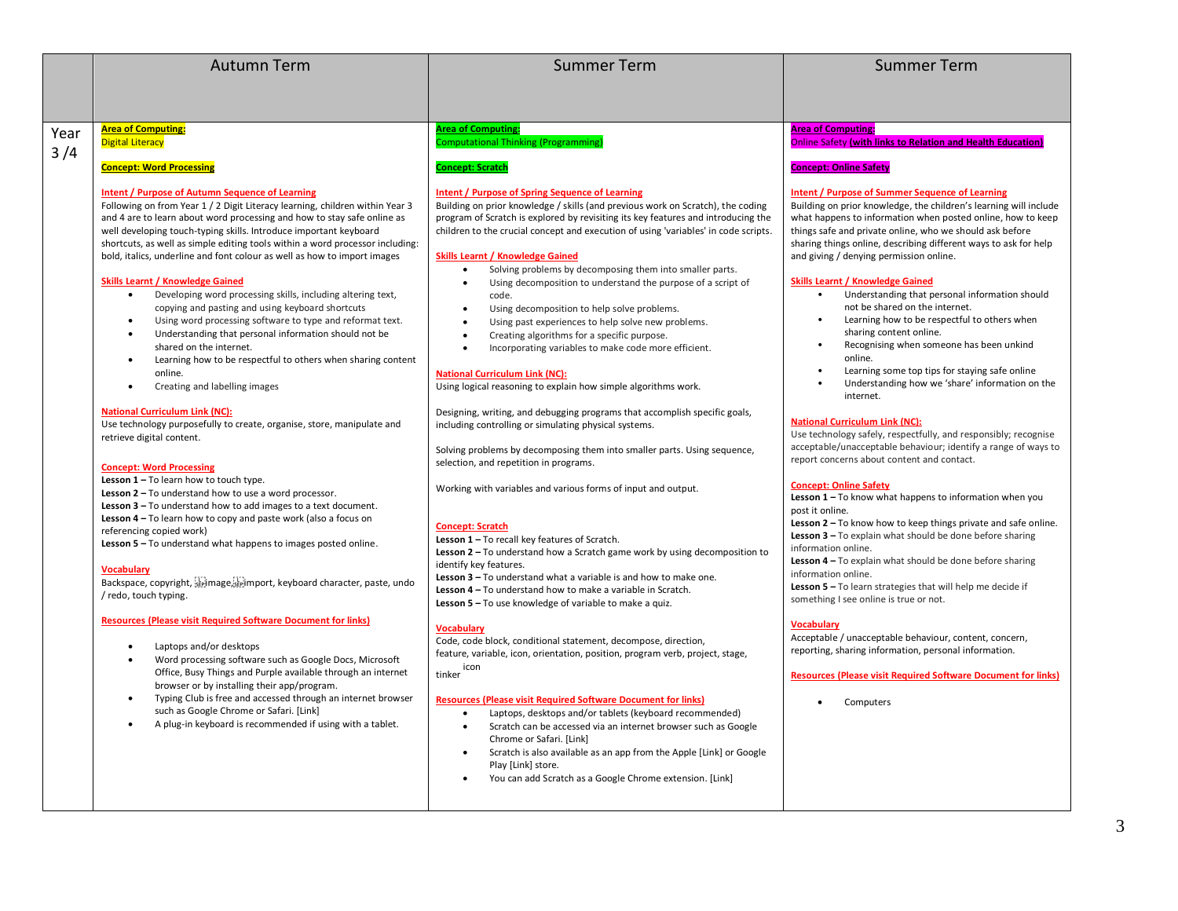|      | <b>Autumn Term</b>                                                                                                                                                                                                                                                                                                                                                                                                                                                                                                                                                                                                                                                                                                                                                                                                                                                                                                                                                                                                                                                                                                                                                                                                                                                                                                                                                                                                                                                                                                                                                                                                                                                                                                                                                                                                                                                                                                                                                                                                                                                            | <b>Summer Term</b>                                                                                                                                                                                                                                                                                                                                                                                                                                                                                                                                                                                                                                                                                                                                                                                                                                                                                                                                                                                                                                                                                                                                                                                                                                                                                                                                                                                                                                                                                                                                                                                                                                                                                                                                                                                                                                                                                                                                                                                                                                                                                                                                                                                                                    | <b>Summer Term</b>                                                                                                                                                                                                                                                                                                                                                                                                                                                                                                                                                                                                                                                                                                                                                                                                                                                                                                                                                                                                                                                                                                                                                                                                                                                                                                                                                                                                                                                                                                                                                                                                                                                                                                                                   |
|------|-------------------------------------------------------------------------------------------------------------------------------------------------------------------------------------------------------------------------------------------------------------------------------------------------------------------------------------------------------------------------------------------------------------------------------------------------------------------------------------------------------------------------------------------------------------------------------------------------------------------------------------------------------------------------------------------------------------------------------------------------------------------------------------------------------------------------------------------------------------------------------------------------------------------------------------------------------------------------------------------------------------------------------------------------------------------------------------------------------------------------------------------------------------------------------------------------------------------------------------------------------------------------------------------------------------------------------------------------------------------------------------------------------------------------------------------------------------------------------------------------------------------------------------------------------------------------------------------------------------------------------------------------------------------------------------------------------------------------------------------------------------------------------------------------------------------------------------------------------------------------------------------------------------------------------------------------------------------------------------------------------------------------------------------------------------------------------|---------------------------------------------------------------------------------------------------------------------------------------------------------------------------------------------------------------------------------------------------------------------------------------------------------------------------------------------------------------------------------------------------------------------------------------------------------------------------------------------------------------------------------------------------------------------------------------------------------------------------------------------------------------------------------------------------------------------------------------------------------------------------------------------------------------------------------------------------------------------------------------------------------------------------------------------------------------------------------------------------------------------------------------------------------------------------------------------------------------------------------------------------------------------------------------------------------------------------------------------------------------------------------------------------------------------------------------------------------------------------------------------------------------------------------------------------------------------------------------------------------------------------------------------------------------------------------------------------------------------------------------------------------------------------------------------------------------------------------------------------------------------------------------------------------------------------------------------------------------------------------------------------------------------------------------------------------------------------------------------------------------------------------------------------------------------------------------------------------------------------------------------------------------------------------------------------------------------------------------|------------------------------------------------------------------------------------------------------------------------------------------------------------------------------------------------------------------------------------------------------------------------------------------------------------------------------------------------------------------------------------------------------------------------------------------------------------------------------------------------------------------------------------------------------------------------------------------------------------------------------------------------------------------------------------------------------------------------------------------------------------------------------------------------------------------------------------------------------------------------------------------------------------------------------------------------------------------------------------------------------------------------------------------------------------------------------------------------------------------------------------------------------------------------------------------------------------------------------------------------------------------------------------------------------------------------------------------------------------------------------------------------------------------------------------------------------------------------------------------------------------------------------------------------------------------------------------------------------------------------------------------------------------------------------------------------------------------------------------------------------|
|      |                                                                                                                                                                                                                                                                                                                                                                                                                                                                                                                                                                                                                                                                                                                                                                                                                                                                                                                                                                                                                                                                                                                                                                                                                                                                                                                                                                                                                                                                                                                                                                                                                                                                                                                                                                                                                                                                                                                                                                                                                                                                               |                                                                                                                                                                                                                                                                                                                                                                                                                                                                                                                                                                                                                                                                                                                                                                                                                                                                                                                                                                                                                                                                                                                                                                                                                                                                                                                                                                                                                                                                                                                                                                                                                                                                                                                                                                                                                                                                                                                                                                                                                                                                                                                                                                                                                                       |                                                                                                                                                                                                                                                                                                                                                                                                                                                                                                                                                                                                                                                                                                                                                                                                                                                                                                                                                                                                                                                                                                                                                                                                                                                                                                                                                                                                                                                                                                                                                                                                                                                                                                                                                      |
|      |                                                                                                                                                                                                                                                                                                                                                                                                                                                                                                                                                                                                                                                                                                                                                                                                                                                                                                                                                                                                                                                                                                                                                                                                                                                                                                                                                                                                                                                                                                                                                                                                                                                                                                                                                                                                                                                                                                                                                                                                                                                                               |                                                                                                                                                                                                                                                                                                                                                                                                                                                                                                                                                                                                                                                                                                                                                                                                                                                                                                                                                                                                                                                                                                                                                                                                                                                                                                                                                                                                                                                                                                                                                                                                                                                                                                                                                                                                                                                                                                                                                                                                                                                                                                                                                                                                                                       |                                                                                                                                                                                                                                                                                                                                                                                                                                                                                                                                                                                                                                                                                                                                                                                                                                                                                                                                                                                                                                                                                                                                                                                                                                                                                                                                                                                                                                                                                                                                                                                                                                                                                                                                                      |
| Year | <b>Area of Computing:</b>                                                                                                                                                                                                                                                                                                                                                                                                                                                                                                                                                                                                                                                                                                                                                                                                                                                                                                                                                                                                                                                                                                                                                                                                                                                                                                                                                                                                                                                                                                                                                                                                                                                                                                                                                                                                                                                                                                                                                                                                                                                     | <b>Area of Computing:</b>                                                                                                                                                                                                                                                                                                                                                                                                                                                                                                                                                                                                                                                                                                                                                                                                                                                                                                                                                                                                                                                                                                                                                                                                                                                                                                                                                                                                                                                                                                                                                                                                                                                                                                                                                                                                                                                                                                                                                                                                                                                                                                                                                                                                             | <b>Area of Computing:</b>                                                                                                                                                                                                                                                                                                                                                                                                                                                                                                                                                                                                                                                                                                                                                                                                                                                                                                                                                                                                                                                                                                                                                                                                                                                                                                                                                                                                                                                                                                                                                                                                                                                                                                                            |
| 3/4  | <b>Digital Literacy</b>                                                                                                                                                                                                                                                                                                                                                                                                                                                                                                                                                                                                                                                                                                                                                                                                                                                                                                                                                                                                                                                                                                                                                                                                                                                                                                                                                                                                                                                                                                                                                                                                                                                                                                                                                                                                                                                                                                                                                                                                                                                       | <b>Computational Thinking (Programming)</b>                                                                                                                                                                                                                                                                                                                                                                                                                                                                                                                                                                                                                                                                                                                                                                                                                                                                                                                                                                                                                                                                                                                                                                                                                                                                                                                                                                                                                                                                                                                                                                                                                                                                                                                                                                                                                                                                                                                                                                                                                                                                                                                                                                                           | Online Safety (with links to Relation and Health Education)                                                                                                                                                                                                                                                                                                                                                                                                                                                                                                                                                                                                                                                                                                                                                                                                                                                                                                                                                                                                                                                                                                                                                                                                                                                                                                                                                                                                                                                                                                                                                                                                                                                                                          |
|      | <b>Concept: Word Processing</b>                                                                                                                                                                                                                                                                                                                                                                                                                                                                                                                                                                                                                                                                                                                                                                                                                                                                                                                                                                                                                                                                                                                                                                                                                                                                                                                                                                                                                                                                                                                                                                                                                                                                                                                                                                                                                                                                                                                                                                                                                                               | <b>Concept: Scratch</b>                                                                                                                                                                                                                                                                                                                                                                                                                                                                                                                                                                                                                                                                                                                                                                                                                                                                                                                                                                                                                                                                                                                                                                                                                                                                                                                                                                                                                                                                                                                                                                                                                                                                                                                                                                                                                                                                                                                                                                                                                                                                                                                                                                                                               | <b>Concept: Online Safety</b>                                                                                                                                                                                                                                                                                                                                                                                                                                                                                                                                                                                                                                                                                                                                                                                                                                                                                                                                                                                                                                                                                                                                                                                                                                                                                                                                                                                                                                                                                                                                                                                                                                                                                                                        |
|      | <b>Intent / Purpose of Autumn Sequence of Learning</b><br>Following on from Year 1 / 2 Digit Literacy learning, children within Year 3<br>and 4 are to learn about word processing and how to stay safe online as<br>well developing touch-typing skills. Introduce important keyboard<br>shortcuts, as well as simple editing tools within a word processor including:<br>bold, italics, underline and font colour as well as how to import images<br><b>Skills Learnt / Knowledge Gained</b><br>Developing word processing skills, including altering text,<br>copying and pasting and using keyboard shortcuts<br>Using word processing software to type and reformat text.<br>$\bullet$<br>Understanding that personal information should not be<br>$\bullet$<br>shared on the internet.<br>Learning how to be respectful to others when sharing content<br>$\bullet$<br>online.<br>Creating and labelling images<br>$\bullet$<br><b>National Curriculum Link (NC):</b><br>Use technology purposefully to create, organise, store, manipulate and<br>retrieve digital content.<br><b>Concept: Word Processing</b><br>Lesson $1 - To$ learn how to touch type.<br>Lesson 2 - To understand how to use a word processor.<br><b>Lesson 3 - To understand how to add images to a text document.</b><br>Lesson 4 - To learn how to copy and paste work (also a focus on<br>referencing copied work)<br>Lesson 5 - To understand what happens to images posted online.<br><b>Vocabulary</b><br>Backspace, copyright, spimage, spimport, keyboard character, paste, undo<br>/ redo, touch typing.<br><b>Resources (Please visit Required Software Document for links)</b><br>Laptops and/or desktops<br>$\bullet$<br>Word processing software such as Google Docs, Microsoft<br>$\bullet$<br>Office, Busy Things and Purple available through an internet<br>browser or by installing their app/program.<br>Typing Club is free and accessed through an internet browser<br>such as Google Chrome or Safari. [Link]<br>A plug-in keyboard is recommended if using with a tablet. | <b>Intent / Purpose of Spring Sequence of Learning</b><br>Building on prior knowledge / skills (and previous work on Scratch), the coding<br>program of Scratch is explored by revisiting its key features and introducing the<br>children to the crucial concept and execution of using 'variables' in code scripts.<br><b>Skills Learnt / Knowledge Gained</b><br>Solving problems by decomposing them into smaller parts.<br>$\bullet$<br>Using decomposition to understand the purpose of a script of<br>code.<br>Using decomposition to help solve problems.<br>$\bullet$<br>Using past experiences to help solve new problems.<br>$\bullet$<br>Creating algorithms for a specific purpose.<br>$\bullet$<br>Incorporating variables to make code more efficient.<br><b>National Curriculum Link (NC):</b><br>Using logical reasoning to explain how simple algorithms work.<br>Designing, writing, and debugging programs that accomplish specific goals,<br>including controlling or simulating physical systems.<br>Solving problems by decomposing them into smaller parts. Using sequence,<br>selection, and repetition in programs.<br>Working with variables and various forms of input and output.<br><b>Concept: Scratch</b><br>Lesson 1 - To recall key features of Scratch.<br><b>Lesson 2</b> $-$ To understand how a Scratch game work by using decomposition to<br>identify key features.<br>Lesson 3 - To understand what a variable is and how to make one.<br>Lesson 4 - To understand how to make a variable in Scratch.<br><b>Lesson 5</b> $-$ To use knowledge of variable to make a quiz.<br><b>Vocabulary</b><br>Code, code block, conditional statement, decompose, direction,<br>feature, variable, icon, orientation, position, program verb, project, stage,<br>icon<br>tinker<br><b>Resources (Please visit Required Software Document for links)</b><br>Laptops, desktops and/or tablets (keyboard recommended)<br>$\bullet$<br>Scratch can be accessed via an internet browser such as Google<br>٠<br>Chrome or Safari. [Link]<br>Scratch is also available as an app from the Apple [Link] or Google<br>$\bullet$<br>Play [Link] store.<br>You can add Scratch as a Google Chrome extension. [Link] | <b>Intent / Purpose of Summer Sequence of Learning</b><br>Building on prior knowledge, the children's learning will include<br>what happens to information when posted online, how to keep<br>things safe and private online, who we should ask before<br>sharing things online, describing different ways to ask for help<br>and giving / denying permission online.<br><b>Skills Learnt / Knowledge Gained</b><br>Understanding that personal information should<br>not be shared on the internet.<br>Learning how to be respectful to others when<br>$\bullet$<br>sharing content online.<br>Recognising when someone has been unkind<br>$\bullet$<br>online.<br>Learning some top tips for staying safe online<br>$\bullet$<br>Understanding how we 'share' information on the<br>internet.<br><b>National Curriculum Link (NC):</b><br>Use technology safely, respectfully, and responsibly; recognise<br>acceptable/unacceptable behaviour; identify a range of ways to<br>report concerns about content and contact.<br><b>Concept: Online Safety</b><br>Lesson 1 - To know what happens to information when you<br>post it online.<br><b>Lesson 2</b> $-$ To know how to keep things private and safe online.<br><b>Lesson 3</b> $-$ To explain what should be done before sharing<br>information online.<br>Lesson $4 - To$ explain what should be done before sharing<br>information online.<br><b>Lesson 5</b> $-$ To learn strategies that will help me decide if<br>something I see online is true or not.<br><b>Vocabulary</b><br>Acceptable / unacceptable behaviour, content, concern,<br>reporting, sharing information, personal information.<br><b>Resources (Please visit Required Software Document for links)</b><br>Computers |
|      |                                                                                                                                                                                                                                                                                                                                                                                                                                                                                                                                                                                                                                                                                                                                                                                                                                                                                                                                                                                                                                                                                                                                                                                                                                                                                                                                                                                                                                                                                                                                                                                                                                                                                                                                                                                                                                                                                                                                                                                                                                                                               |                                                                                                                                                                                                                                                                                                                                                                                                                                                                                                                                                                                                                                                                                                                                                                                                                                                                                                                                                                                                                                                                                                                                                                                                                                                                                                                                                                                                                                                                                                                                                                                                                                                                                                                                                                                                                                                                                                                                                                                                                                                                                                                                                                                                                                       |                                                                                                                                                                                                                                                                                                                                                                                                                                                                                                                                                                                                                                                                                                                                                                                                                                                                                                                                                                                                                                                                                                                                                                                                                                                                                                                                                                                                                                                                                                                                                                                                                                                                                                                                                      |

3